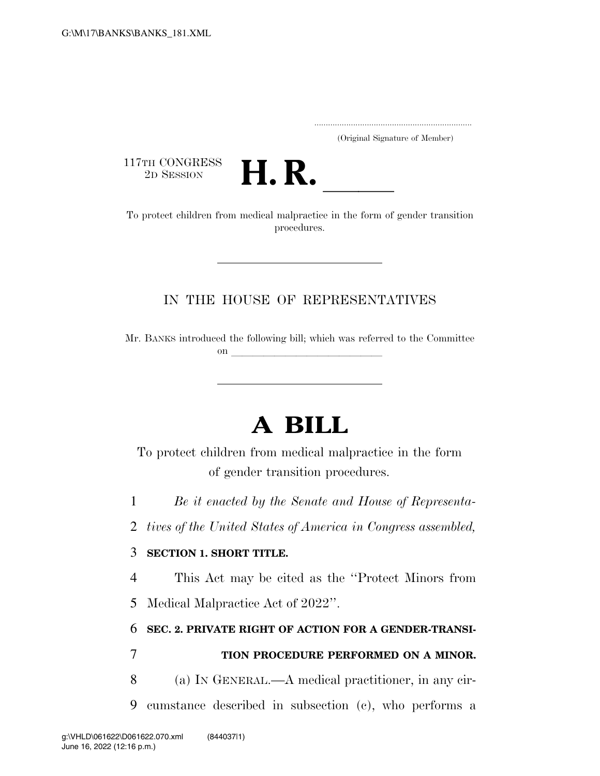..................................................................... (Original Signature of Member)

117TH CONGRESS<br>2D SESSION



<sup>117TH</sup> CONGRESS<br>
To protect children from medical malpractice in the form of gender transition procedures.

## IN THE HOUSE OF REPRESENTATIVES

Mr. BANKS introduced the following bill; which was referred to the Committee  $\mathbf{on}$ 

# **A BILL**

To protect children from medical malpractice in the form of gender transition procedures.

1 *Be it enacted by the Senate and House of Representa-*

2 *tives of the United States of America in Congress assembled,* 

## 3 **SECTION 1. SHORT TITLE.**

4 This Act may be cited as the ''Protect Minors from

5 Medical Malpractice Act of 2022''.

## 6 **SEC. 2. PRIVATE RIGHT OF ACTION FOR A GENDER-TRANSI-**

## 7 **TION PROCEDURE PERFORMED ON A MINOR.**

8 (a) IN GENERAL.—A medical practitioner, in any cir-

9 cumstance described in subsection (c), who performs a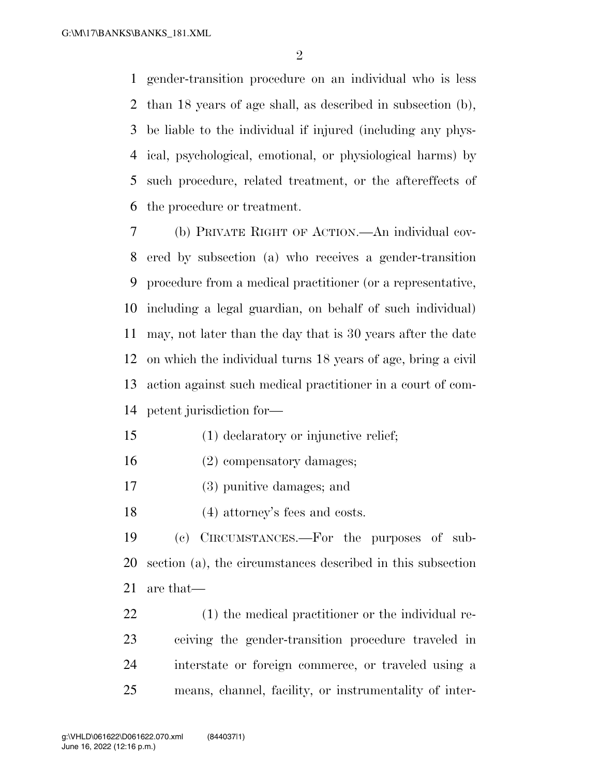gender-transition procedure on an individual who is less than 18 years of age shall, as described in subsection (b), be liable to the individual if injured (including any phys- ical, psychological, emotional, or physiological harms) by such procedure, related treatment, or the aftereffects of the procedure or treatment.

 (b) PRIVATE RIGHT OF ACTION.—An individual cov- ered by subsection (a) who receives a gender-transition procedure from a medical practitioner (or a representative, including a legal guardian, on behalf of such individual) may, not later than the day that is 30 years after the date on which the individual turns 18 years of age, bring a civil action against such medical practitioner in a court of com-petent jurisdiction for—

- (1) declaratory or injunctive relief;
- (2) compensatory damages;
- (3) punitive damages; and
- (4) attorney's fees and costs.

 (c) CIRCUMSTANCES.—For the purposes of sub- section (a), the circumstances described in this subsection are that—

 (1) the medical practitioner or the individual re- ceiving the gender-transition procedure traveled in interstate or foreign commerce, or traveled using a means, channel, facility, or instrumentality of inter-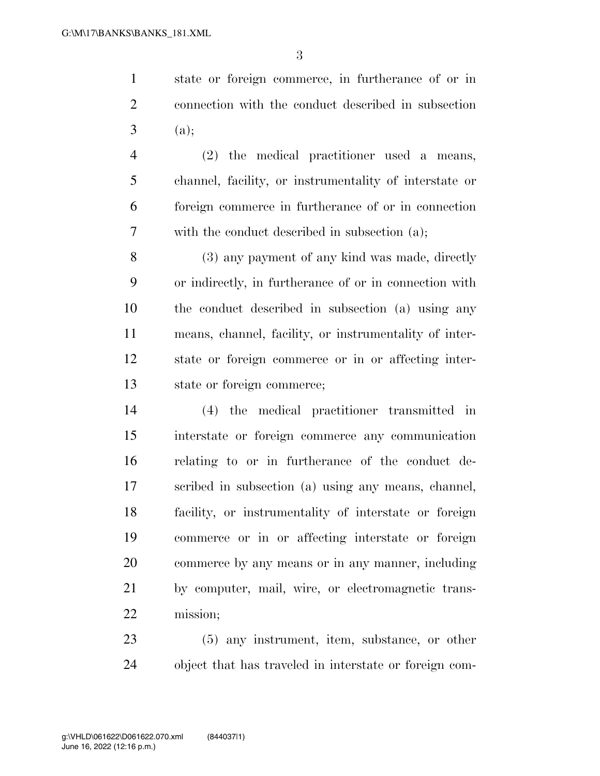state or foreign commerce, in furtherance of or in connection with the conduct described in subsection (a);

 (2) the medical practitioner used a means, channel, facility, or instrumentality of interstate or foreign commerce in furtherance of or in connection with the conduct described in subsection (a);

 (3) any payment of any kind was made, directly or indirectly, in furtherance of or in connection with the conduct described in subsection (a) using any means, channel, facility, or instrumentality of inter- state or foreign commerce or in or affecting inter-state or foreign commerce;

 (4) the medical practitioner transmitted in interstate or foreign commerce any communication relating to or in furtherance of the conduct de- scribed in subsection (a) using any means, channel, facility, or instrumentality of interstate or foreign commerce or in or affecting interstate or foreign commerce by any means or in any manner, including by computer, mail, wire, or electromagnetic trans-mission;

 (5) any instrument, item, substance, or other object that has traveled in interstate or foreign com-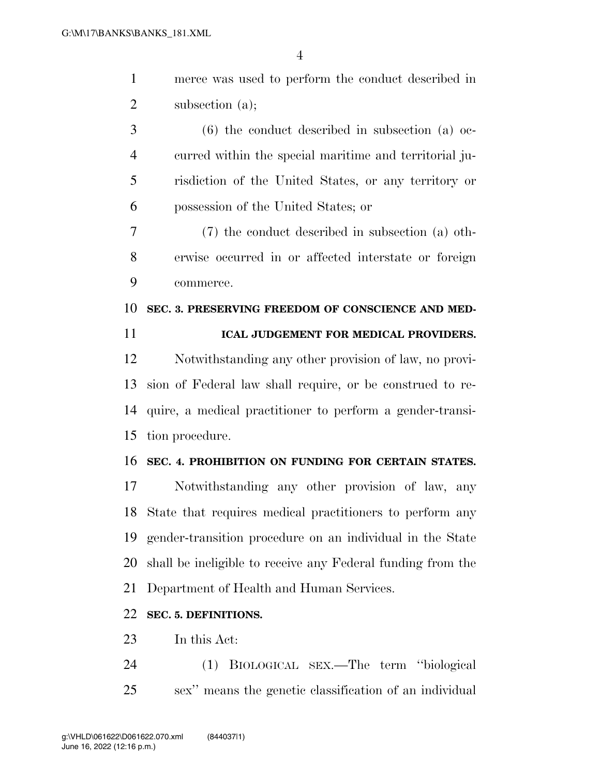merce was used to perform the conduct described in 2 subsection (a);

 (6) the conduct described in subsection (a) oc- curred within the special maritime and territorial ju- risdiction of the United States, or any territory or possession of the United States; or

 (7) the conduct described in subsection (a) oth- erwise occurred in or affected interstate or foreign commerce.

#### **SEC. 3. PRESERVING FREEDOM OF CONSCIENCE AND MED-**

#### **ICAL JUDGEMENT FOR MEDICAL PROVIDERS.**

 Notwithstanding any other provision of law, no provi- sion of Federal law shall require, or be construed to re- quire, a medical practitioner to perform a gender-transi-tion procedure.

#### **SEC. 4. PROHIBITION ON FUNDING FOR CERTAIN STATES.**

 Notwithstanding any other provision of law, any State that requires medical practitioners to perform any gender-transition procedure on an individual in the State shall be ineligible to receive any Federal funding from the Department of Health and Human Services.

### **SEC. 5. DEFINITIONS.**

In this Act:

 (1) BIOLOGICAL SEX.—The term ''biological sex'' means the genetic classification of an individual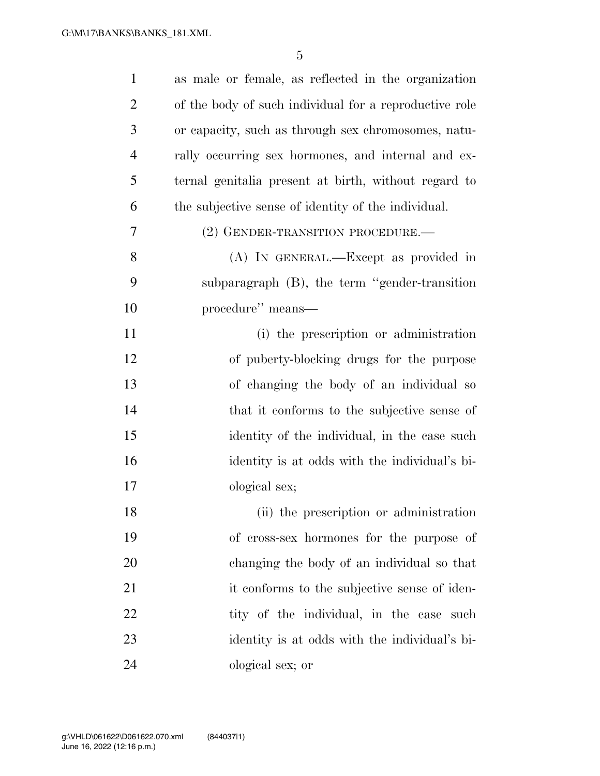| $\mathbf{1}$   | as male or female, as reflected in the organization    |
|----------------|--------------------------------------------------------|
| $\overline{2}$ | of the body of such individual for a reproductive role |
| 3              | or capacity, such as through sex chromosomes, natu-    |
| $\overline{4}$ | rally occurring sex hormones, and internal and ex-     |
| 5              | ternal genitalia present at birth, without regard to   |
| 6              | the subjective sense of identity of the individual.    |
| 7              | (2) GENDER-TRANSITION PROCEDURE.—                      |
| 8              | (A) IN GENERAL.—Except as provided in                  |
| 9              | subparagraph (B), the term "gender-transition"         |
| 10             | procedure" means—                                      |
| 11             | (i) the prescription or administration                 |
| 12             | of puberty-blocking drugs for the purpose              |
| 13             | of changing the body of an individual so               |
| 14             | that it conforms to the subjective sense of            |
| 15             | identity of the individual, in the case such           |
| 16             | identity is at odds with the individual's bi-          |
| 17             | ological sex;                                          |
| 18             | (ii) the prescription or administration                |
| 19             | of cross-sex hormones for the purpose of               |
| 20             | changing the body of an individual so that             |
| 21             | it conforms to the subjective sense of iden-           |
| 22             | tity of the individual, in the case such               |
| 23             | identity is at odds with the individual's bi-          |
| 24             | ological sex; or                                       |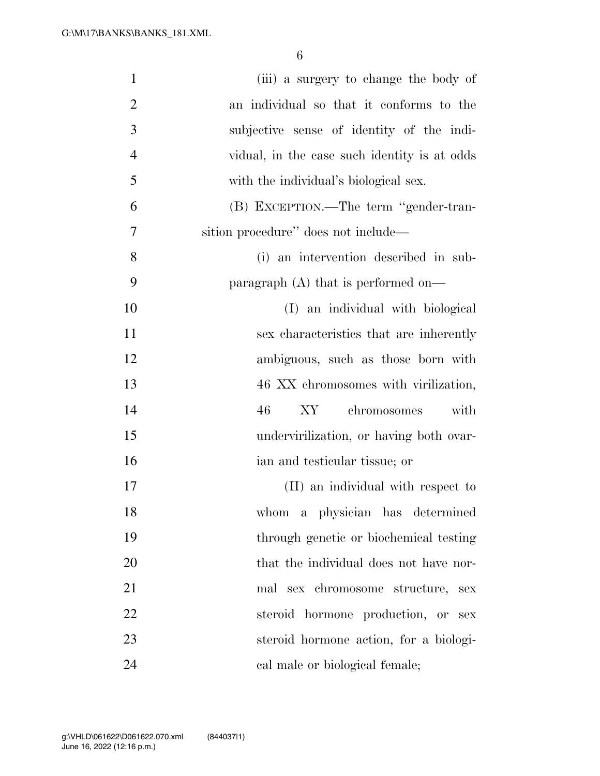| $\mathbf{1}$   | (iii) a surgery to change the body of        |
|----------------|----------------------------------------------|
| $\overline{2}$ | an individual so that it conforms to the     |
| 3              | subjective sense of identity of the indi-    |
| $\overline{4}$ | vidual, in the case such identity is at odds |
| 5              | with the individual's biological sex.        |
| 6              | (B) EXCEPTION.—The term "gender-tran-        |
| 7              | sition procedure" does not include—          |
| 8              | (i) an intervention described in sub-        |
| 9              | paragraph (A) that is performed on—          |
| 10             | (I) an individual with biological            |
| 11             | sex characteristics that are inherently      |
| 12             | ambiguous, such as those born with           |
| 13             | 46 XX chromosomes with virilization,         |
| 14             | 46<br>chromosomes<br>XY<br>with              |
| 15             | undervirilization, or having both ovar-      |
| 16             | ian and testicular tissue; or                |
| 17             | (II) an individual with respect to           |
| 18             | whom a physician has determined              |
| 19             | through genetic or biochemical testing       |
| 20             | that the individual does not have nor-       |
| 21             | mal sex chromosome structure, sex            |
| 22             | steroid hormone production, or sex           |
| 23             | steroid hormone action, for a biologi-       |
| 24             | cal male or biological female;               |